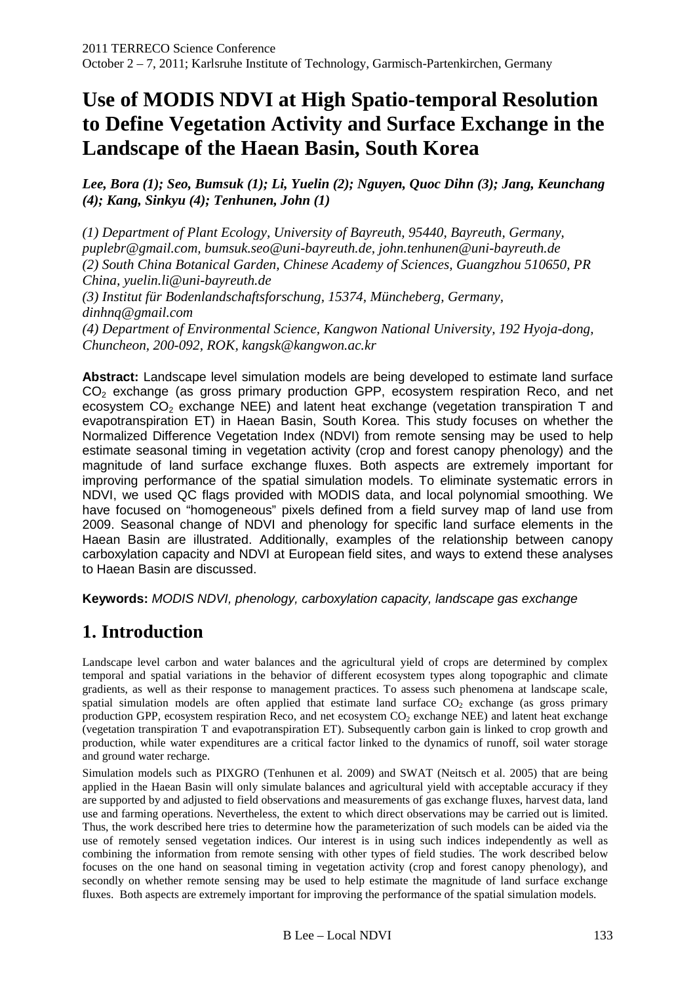# **Use of MODIS NDVI at High Spatio-temporal Resolution to Define Vegetation Activity and Surface Exchange in the Landscape of the Haean Basin, South Korea**

*Lee, Bora (1); Seo, Bumsuk (1); Li, Yuelin (2); Nguyen, Quoc Dihn (3); Jang, Keunchang (4); Kang, Sinkyu (4); Tenhunen, John (1)* 

*(1) Department of Plant Ecology, University of Bayreuth, 95440, Bayreuth, Germany, puplebr@gmail.com, bumsuk.seo@uni-bayreuth.de, john.tenhunen@uni-bayreuth.de (2) South China Botanical Garden, Chinese Academy of Sciences, Guangzhou 510650, PR China, yuelin.li@uni-bayreuth.de* 

*(3) Institut für Bodenlandschaftsforschung, 15374, Müncheberg, Germany, dinhnq@gmail.com* 

*(4) Department of Environmental Science, Kangwon National University, 192 Hyoja-dong, Chuncheon, 200-092, ROK, kangsk@kangwon.ac.kr* 

**Abstract:** Landscape level simulation models are being developed to estimate land surface  $CO<sub>2</sub>$  exchange (as gross primary production GPP, ecosystem respiration Reco, and net ecosystem  $CO<sub>2</sub>$  exchange NEE) and latent heat exchange (vegetation transpiration T and evapotranspiration ET) in Haean Basin, South Korea. This study focuses on whether the Normalized Difference Vegetation Index (NDVI) from remote sensing may be used to help estimate seasonal timing in vegetation activity (crop and forest canopy phenology) and the magnitude of land surface exchange fluxes. Both aspects are extremely important for improving performance of the spatial simulation models. To eliminate systematic errors in NDVI, we used QC flags provided with MODIS data, and local polynomial smoothing. We have focused on "homogeneous" pixels defined from a field survey map of land use from 2009. Seasonal change of NDVI and phenology for specific land surface elements in the Haean Basin are illustrated. Additionally, examples of the relationship between canopy carboxylation capacity and NDVI at European field sites, and ways to extend these analyses to Haean Basin are discussed.

**Keywords:** MODIS NDVI, phenology, carboxylation capacity, landscape gas exchange

# **1. Introduction**

Landscape level carbon and water balances and the agricultural yield of crops are determined by complex temporal and spatial variations in the behavior of different ecosystem types along topographic and climate gradients, as well as their response to management practices. To assess such phenomena at landscape scale, spatial simulation models are often applied that estimate land surface  $CO<sub>2</sub>$  exchange (as gross primary production GPP, ecosystem respiration Reco, and net ecosystem CO2 exchange NEE) and latent heat exchange (vegetation transpiration T and evapotranspiration ET). Subsequently carbon gain is linked to crop growth and production, while water expenditures are a critical factor linked to the dynamics of runoff, soil water storage and ground water recharge.

Simulation models such as PIXGRO (Tenhunen et al. 2009) and SWAT (Neitsch et al. 2005) that are being applied in the Haean Basin will only simulate balances and agricultural yield with acceptable accuracy if they are supported by and adjusted to field observations and measurements of gas exchange fluxes, harvest data, land use and farming operations. Nevertheless, the extent to which direct observations may be carried out is limited. Thus, the work described here tries to determine how the parameterization of such models can be aided via the use of remotely sensed vegetation indices. Our interest is in using such indices independently as well as combining the information from remote sensing with other types of field studies. The work described below focuses on the one hand on seasonal timing in vegetation activity (crop and forest canopy phenology), and secondly on whether remote sensing may be used to help estimate the magnitude of land surface exchange fluxes. Both aspects are extremely important for improving the performance of the spatial simulation models.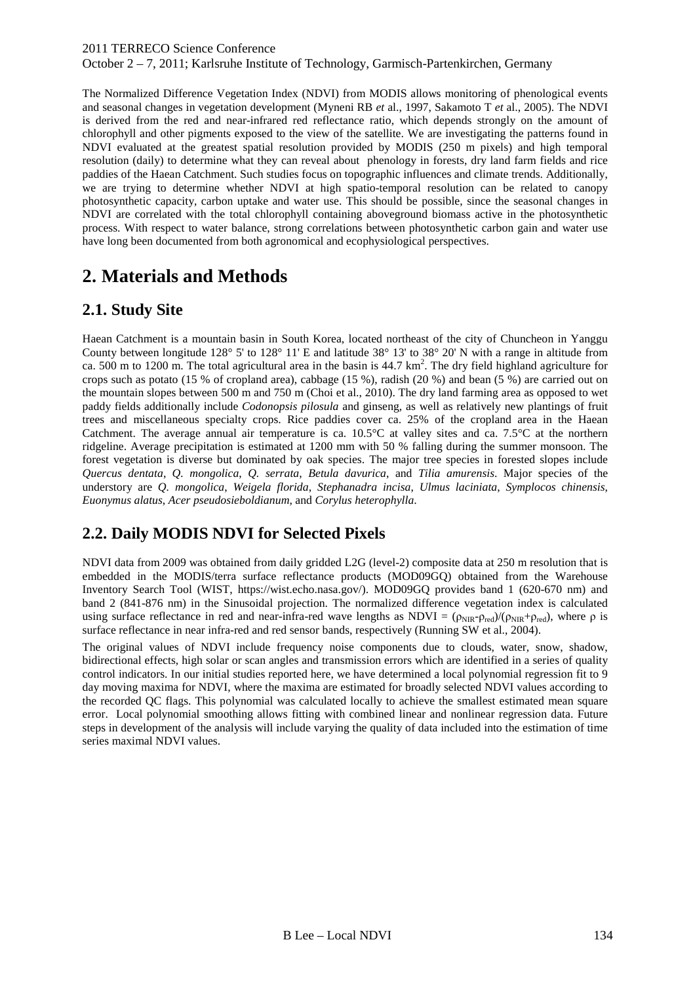October 2 – 7, 2011; Karlsruhe Institute of Technology, Garmisch-Partenkirchen, Germany

The Normalized Difference Vegetation Index (NDVI) from MODIS allows monitoring of phenological events and seasonal changes in vegetation development (Myneni RB *et* al., 1997, Sakamoto T *et* al., 2005). The NDVI is derived from the red and near-infrared red reflectance ratio, which depends strongly on the amount of chlorophyll and other pigments exposed to the view of the satellite. We are investigating the patterns found in NDVI evaluated at the greatest spatial resolution provided by MODIS (250 m pixels) and high temporal resolution (daily) to determine what they can reveal about phenology in forests, dry land farm fields and rice paddies of the Haean Catchment. Such studies focus on topographic influences and climate trends. Additionally, we are trying to determine whether NDVI at high spatio-temporal resolution can be related to canopy photosynthetic capacity, carbon uptake and water use. This should be possible, since the seasonal changes in NDVI are correlated with the total chlorophyll containing aboveground biomass active in the photosynthetic process. With respect to water balance, strong correlations between photosynthetic carbon gain and water use have long been documented from both agronomical and ecophysiological perspectives.

# **2. Materials and Methods**

### **2.1. Study Site**

Haean Catchment is a mountain basin in South Korea, located northeast of the city of Chuncheon in Yanggu County between longitude 128° 5' to 128° 11' E and latitude 38° 13' to 38° 20' N with a range in altitude from ca. 500 m to 1200 m. The total agricultural area in the basin is  $44.7 \text{ km}^2$ . The dry field highland agriculture for crops such as potato (15 % of cropland area), cabbage (15 %), radish (20 %) and bean (5 %) are carried out on the mountain slopes between 500 m and 750 m (Choi et al., 2010). The dry land farming area as opposed to wet paddy fields additionally include *Codonopsis pilosula* and ginseng, as well as relatively new plantings of fruit trees and miscellaneous specialty crops. Rice paddies cover ca. 25% of the cropland area in the Haean Catchment. The average annual air temperature is ca.  $10.5^{\circ}$ C at valley sites and ca.  $7.5^{\circ}$ C at the northern ridgeline. Average precipitation is estimated at 1200 mm with 50 % falling during the summer monsoon. The forest vegetation is diverse but dominated by oak species. The major tree species in forested slopes include *Quercus dentata*, *Q. mongolica*, *Q. serrata*, *Betula davurica*, and *Tilia amurensis*. Major species of the understory are *Q. mongolica*, *Weigela florida*, *Stephanadra incisa*, *Ulmus laciniata*, *Symplocos chinensis*, *Euonymus alatus*, *Acer pseudosieboldianum*, and *Corylus heterophylla*.

## **2.2. Daily MODIS NDVI for Selected Pixels**

NDVI data from 2009 was obtained from daily gridded L2G (level-2) composite data at 250 m resolution that is embedded in the MODIS/terra surface reflectance products (MOD09GQ) obtained from the Warehouse Inventory Search Tool (WIST, https://wist.echo.nasa.gov/). MOD09GQ provides band 1 (620-670 nm) and band 2 (841-876 nm) in the Sinusoidal projection. The normalized difference vegetation index is calculated using surface reflectance in red and near-infra-red wave lengths as NDVI =  $(\rho_{NIR} - \rho_{red})/(\rho_{NIR} + \rho_{red})$ , where  $\rho$  is surface reflectance in near infra-red and red sensor bands, respectively (Running SW et al., 2004).

The original values of NDVI include frequency noise components due to clouds, water, snow, shadow, bidirectional effects, high solar or scan angles and transmission errors which are identified in a series of quality control indicators. In our initial studies reported here, we have determined a local polynomial regression fit to 9 day moving maxima for NDVI, where the maxima are estimated for broadly selected NDVI values according to the recorded QC flags. This polynomial was calculated locally to achieve the smallest estimated mean square error. Local polynomial smoothing allows fitting with combined linear and nonlinear regression data. Future steps in development of the analysis will include varying the quality of data included into the estimation of time series maximal NDVI values.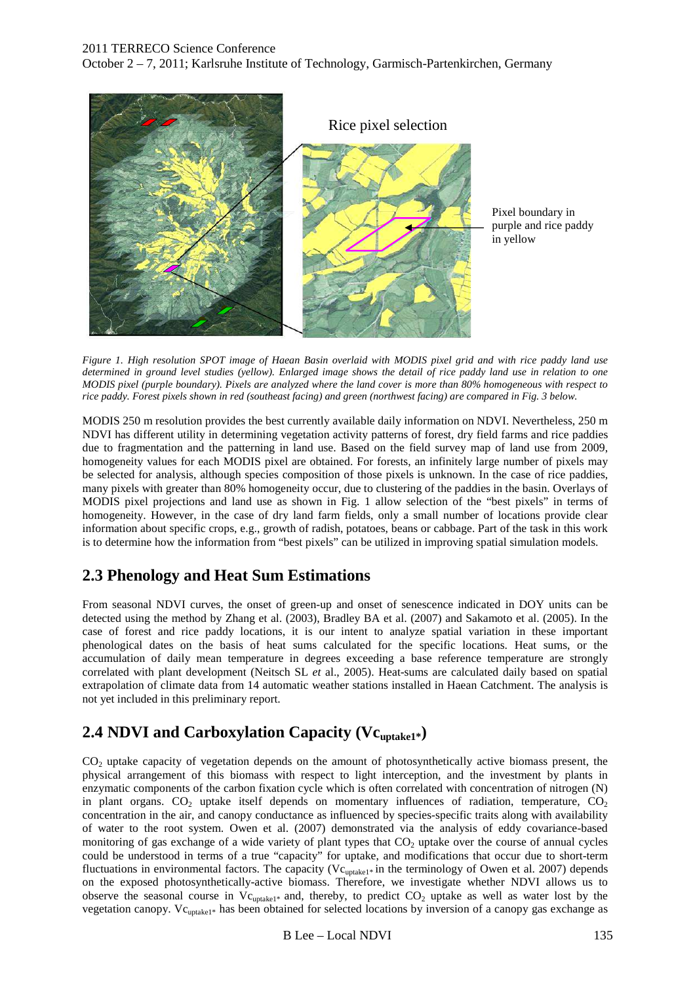October 2 – 7, 2011; Karlsruhe Institute of Technology, Garmisch-Partenkirchen, Germany



*Figure 1. High resolution SPOT image of Haean Basin overlaid with MODIS pixel grid and with rice paddy land use determined in ground level studies (yellow). Enlarged image shows the detail of rice paddy land use in relation to one MODIS pixel (purple boundary). Pixels are analyzed where the land cover is more than 80% homogeneous with respect to rice paddy. Forest pixels shown in red (southeast facing) and green (northwest facing) are compared in Fig. 3 below.* 

MODIS 250 m resolution provides the best currently available daily information on NDVI. Nevertheless, 250 m NDVI has different utility in determining vegetation activity patterns of forest, dry field farms and rice paddies due to fragmentation and the patterning in land use. Based on the field survey map of land use from 2009, homogeneity values for each MODIS pixel are obtained. For forests, an infinitely large number of pixels may be selected for analysis, although species composition of those pixels is unknown. In the case of rice paddies, many pixels with greater than 80% homogeneity occur, due to clustering of the paddies in the basin. Overlays of MODIS pixel projections and land use as shown in Fig. 1 allow selection of the "best pixels" in terms of homogeneity. However, in the case of dry land farm fields, only a small number of locations provide clear information about specific crops, e.g., growth of radish, potatoes, beans or cabbage. Part of the task in this work is to determine how the information from "best pixels" can be utilized in improving spatial simulation models.

### **2.3 Phenology and Heat Sum Estimations**

From seasonal NDVI curves, the onset of green-up and onset of senescence indicated in DOY units can be detected using the method by Zhang et al. (2003), Bradley BA et al. (2007) and Sakamoto et al. (2005). In the case of forest and rice paddy locations, it is our intent to analyze spatial variation in these important phenological dates on the basis of heat sums calculated for the specific locations. Heat sums, or the accumulation of daily mean temperature in degrees exceeding a base reference temperature are strongly correlated with plant development (Neitsch SL *et* al., 2005). Heat-sums are calculated daily based on spatial extrapolation of climate data from 14 automatic weather stations installed in Haean Catchment. The analysis is not yet included in this preliminary report.

### **2.4 NDVI and Carboxylation Capacity (Vcuptake1\*)**

CO<sub>2</sub> uptake capacity of vegetation depends on the amount of photosynthetically active biomass present, the physical arrangement of this biomass with respect to light interception, and the investment by plants in enzymatic components of the carbon fixation cycle which is often correlated with concentration of nitrogen (N) in plant organs.  $CO<sub>2</sub>$  uptake itself depends on momentary influences of radiation, temperature,  $CO<sub>2</sub>$ concentration in the air, and canopy conductance as influenced by species-specific traits along with availability of water to the root system. Owen et al. (2007) demonstrated via the analysis of eddy covariance-based monitoring of gas exchange of a wide variety of plant types that  $CO<sub>2</sub>$  uptake over the course of annual cycles could be understood in terms of a true "capacity" for uptake, and modifications that occur due to short-term fluctuations in environmental factors. The capacity ( $Vc_{\text{uptake1}*}$  in the terminology of Owen et al. 2007) depends on the exposed photosynthetically-active biomass. Therefore, we investigate whether NDVI allows us to observe the seasonal course in  $Vc_{\text{update1*}}$  and, thereby, to predict  $CO_2$  uptake as well as water lost by the vegetation canopy. Vcuptake1\* has been obtained for selected locations by inversion of a canopy gas exchange as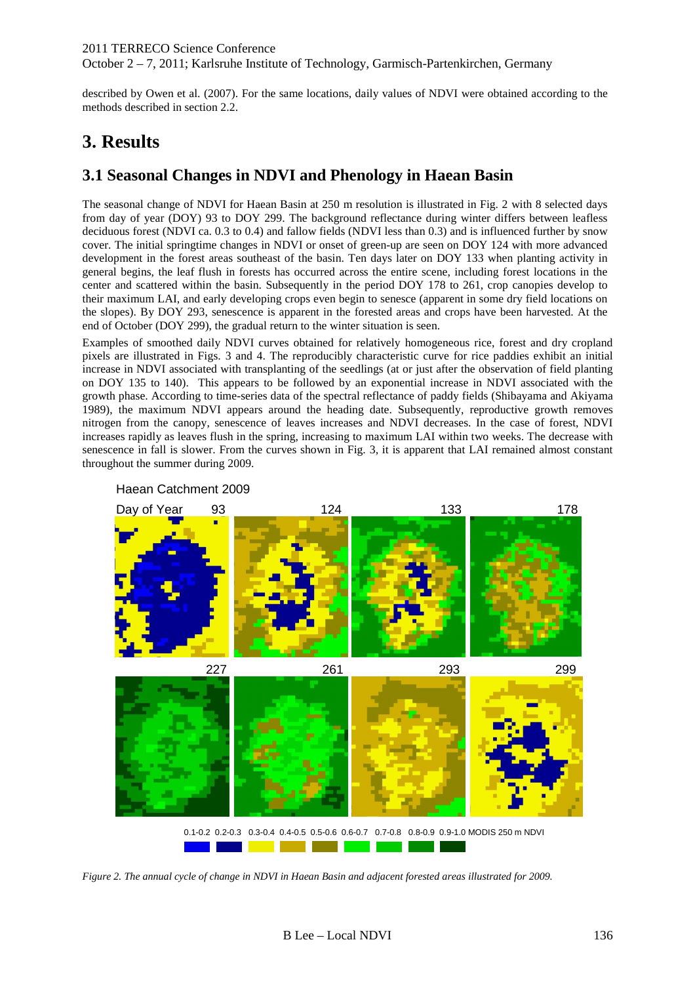described by Owen et al. (2007). For the same locations, daily values of NDVI were obtained according to the methods described in section 2.2.

# **3. Results**

## **3.1 Seasonal Changes in NDVI and Phenology in Haean Basin**

The seasonal change of NDVI for Haean Basin at 250 m resolution is illustrated in Fig. 2 with 8 selected days from day of year (DOY) 93 to DOY 299. The background reflectance during winter differs between leafless deciduous forest (NDVI ca. 0.3 to 0.4) and fallow fields (NDVI less than 0.3) and is influenced further by snow cover. The initial springtime changes in NDVI or onset of green-up are seen on DOY 124 with more advanced development in the forest areas southeast of the basin. Ten days later on DOY 133 when planting activity in general begins, the leaf flush in forests has occurred across the entire scene, including forest locations in the center and scattered within the basin. Subsequently in the period DOY 178 to 261, crop canopies develop to their maximum LAI, and early developing crops even begin to senesce (apparent in some dry field locations on the slopes). By DOY 293, senescence is apparent in the forested areas and crops have been harvested. At the end of October (DOY 299), the gradual return to the winter situation is seen.

Examples of smoothed daily NDVI curves obtained for relatively homogeneous rice, forest and dry cropland pixels are illustrated in Figs. 3 and 4. The reproducibly characteristic curve for rice paddies exhibit an initial increase in NDVI associated with transplanting of the seedlings (at or just after the observation of field planting on DOY 135 to 140). This appears to be followed by an exponential increase in NDVI associated with the growth phase. According to time-series data of the spectral reflectance of paddy fields (Shibayama and Akiyama 1989), the maximum NDVI appears around the heading date. Subsequently, reproductive growth removes nitrogen from the canopy, senescence of leaves increases and NDVI decreases. In the case of forest, NDVI increases rapidly as leaves flush in the spring, increasing to maximum LAI within two weeks. The decrease with senescence in fall is slower. From the curves shown in Fig. 3, it is apparent that LAI remained almost constant throughout the summer during 2009.



Haean Catchment 2009

*Figure 2. The annual cycle of change in NDVI in Haean Basin and adjacent forested areas illustrated for 2009.*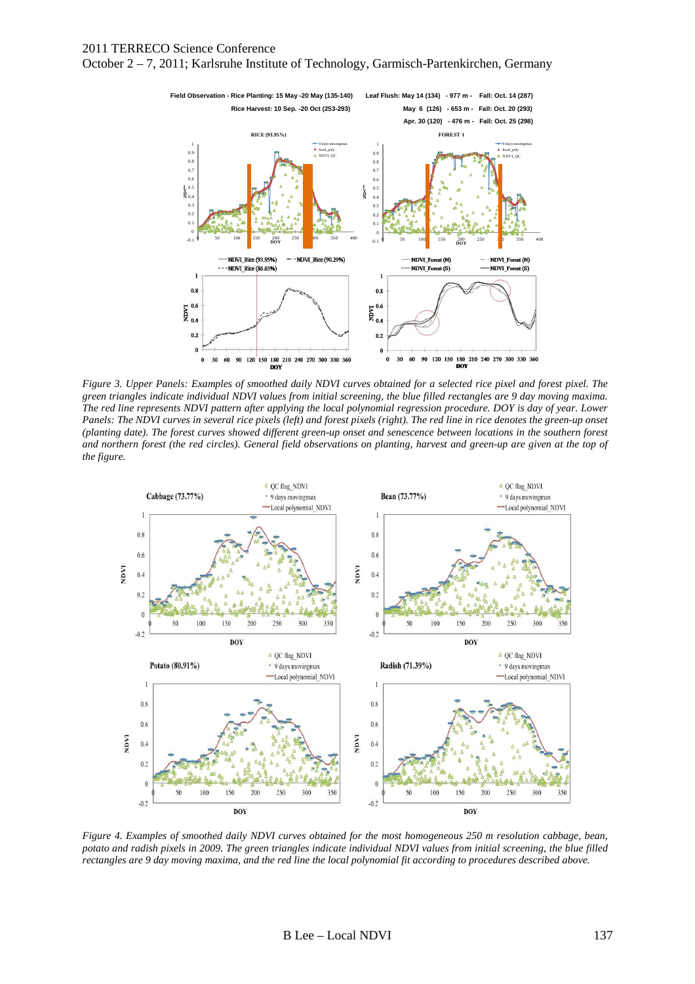



*Figure 3. Upper Panels: Examples of smoothed daily NDVI curves obtained for a selected rice pixel and forest pixel. The green triangles indicate individual NDVI values from initial screening, the blue filled rectangles are 9 day moving maxima. The red line represents NDVI pattern after applying the local polynomial regression procedure. DOY is day of year. Lower Panels: The NDVI curves in several rice pixels (left) and forest pixels (right). The red line in rice denotes the green-up onset (planting date). The forest curves showed different green-up onset and senescence between locations in the southern forest and northern forest (the red circles). General field observations on planting, harvest and green-up are given at the top of the figure.* 



*Figure 4. Examples of smoothed daily NDVI curves obtained for the most homogeneous 250 m resolution cabbage, bean, potato and radish pixels in 2009. The green triangles indicate individual NDVI values from initial screening, the blue filled rectangles are 9 day moving maxima, and the red line the local polynomial fit according to procedures described above.*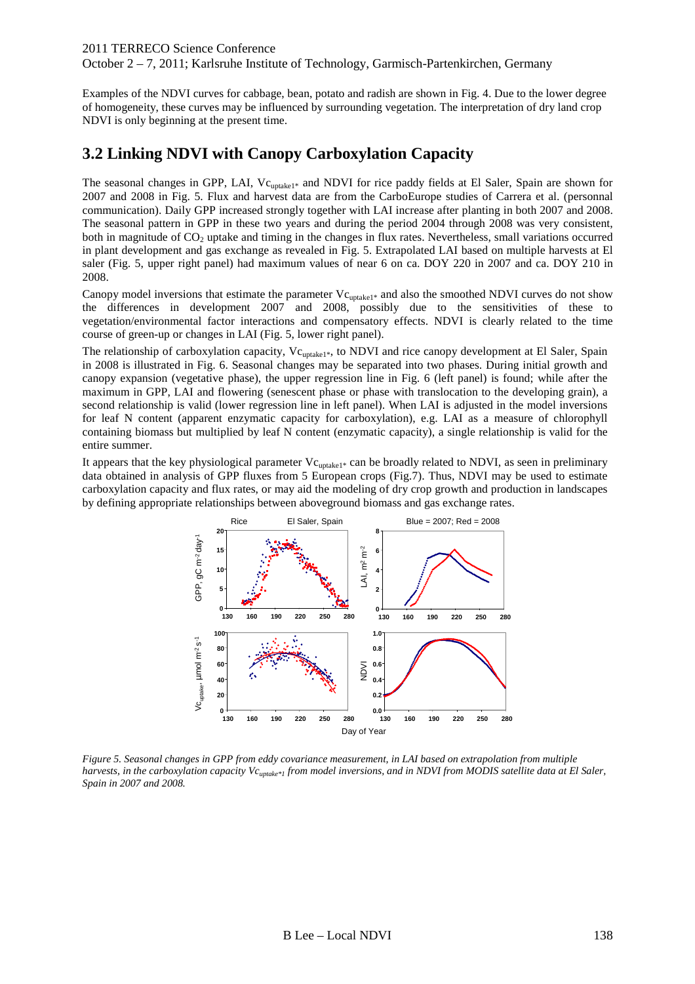October 2 – 7, 2011; Karlsruhe Institute of Technology, Garmisch-Partenkirchen, Germany

Examples of the NDVI curves for cabbage, bean, potato and radish are shown in Fig. 4. Due to the lower degree of homogeneity, these curves may be influenced by surrounding vegetation. The interpretation of dry land crop NDVI is only beginning at the present time.

#### **3.2 Linking NDVI with Canopy Carboxylation Capacity**

The seasonal changes in GPP, LAI, Vc<sub>uptake1\*</sub> and NDVI for rice paddy fields at El Saler, Spain are shown for 2007 and 2008 in Fig. 5. Flux and harvest data are from the CarboEurope studies of Carrera et al. (personnal communication). Daily GPP increased strongly together with LAI increase after planting in both 2007 and 2008. The seasonal pattern in GPP in these two years and during the period 2004 through 2008 was very consistent, both in magnitude of  $CO<sub>2</sub>$  uptake and timing in the changes in flux rates. Nevertheless, small variations occurred in plant development and gas exchange as revealed in Fig. 5. Extrapolated LAI based on multiple harvests at El saler (Fig. 5, upper right panel) had maximum values of near 6 on ca. DOY 220 in 2007 and ca. DOY 210 in 2008.

Canopy model inversions that estimate the parameter  $Vc_{update1*}$  and also the smoothed NDVI curves do not show the differences in development 2007 and 2008, possibly due to the sensitivities of these to vegetation/environmental factor interactions and compensatory effects. NDVI is clearly related to the time course of green-up or changes in LAI (Fig. 5, lower right panel).

The relationship of carboxylation capacity, Vc<sub>uptake1\*</sub>, to NDVI and rice canopy development at El Saler, Spain in 2008 is illustrated in Fig. 6. Seasonal changes may be separated into two phases. During initial growth and canopy expansion (vegetative phase), the upper regression line in Fig. 6 (left panel) is found; while after the maximum in GPP, LAI and flowering (senescent phase or phase with translocation to the developing grain), a second relationship is valid (lower regression line in left panel). When LAI is adjusted in the model inversions for leaf N content (apparent enzymatic capacity for carboxylation), e.g. LAI as a measure of chlorophyll containing biomass but multiplied by leaf N content (enzymatic capacity), a single relationship is valid for the entire summer.

It appears that the key physiological parameter  $Vc_{update1*}$  can be broadly related to NDVI, as seen in preliminary data obtained in analysis of GPP fluxes from 5 European crops (Fig.7). Thus, NDVI may be used to estimate carboxylation capacity and flux rates, or may aid the modeling of dry crop growth and production in landscapes by defining appropriate relationships between aboveground biomass and gas exchange rates.



*Figure 5. Seasonal changes in GPP from eddy covariance measurement, in LAI based on extrapolation from multiple harvests, in the carboxylation capacity Vc*<sub>*uptake\*1</sub> from model inversions, and in NDVI from MODIS satellite data at El Saler,*</sub> *Spain in 2007 and 2008.*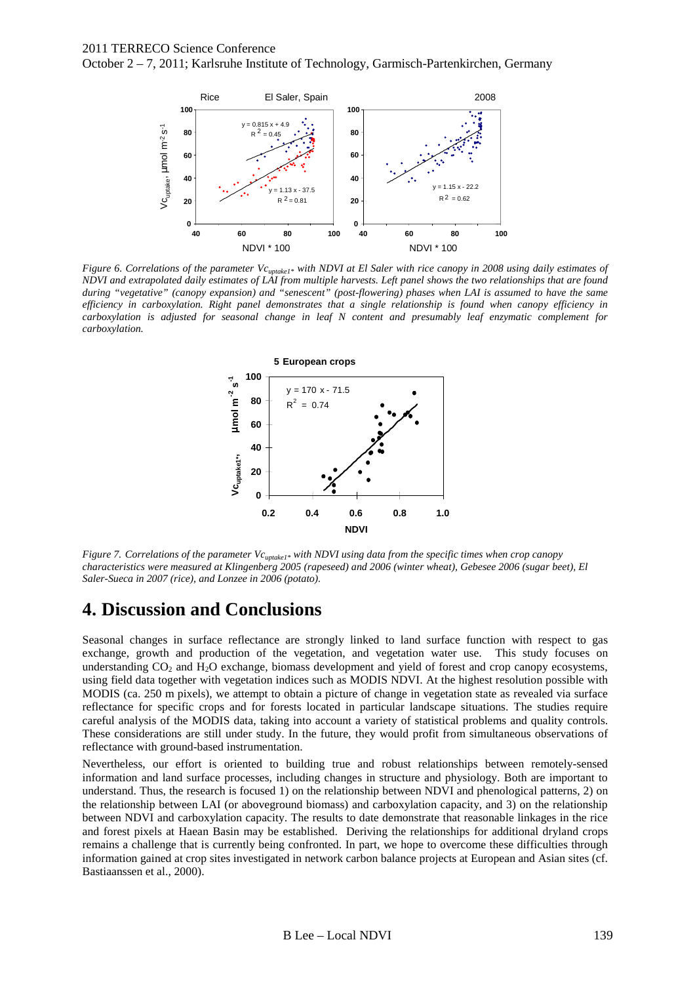



*Figure 6. Correlations of the parameter Vcuptake1\* with NDVI at El Saler with rice canopy in 2008 using daily estimates of NDVI and extrapolated daily estimates of LAI from multiple harvests. Left panel shows the two relationships that are found during "vegetative" (canopy expansion) and "senescent" (post-flowering) phases when LAI is assumed to have the same efficiency in carboxylation. Right panel demonstrates that a single relationship is found when canopy efficiency in carboxylation is adjusted for seasonal change in leaf N content and presumably leaf enzymatic complement for carboxylation.*



*Figure 7. Correlations of the parameter Vc*<sub>*uptake1\*</sub> with NDVI using data from the specific times when crop canopy*</sub> *characteristics were measured at Klingenberg 2005 (rapeseed) and 2006 (winter wheat), Gebesee 2006 (sugar beet), El Saler-Sueca in 2007 (rice), and Lonzee in 2006 (potato).* 

## **4. Discussion and Conclusions**

Seasonal changes in surface reflectance are strongly linked to land surface function with respect to gas exchange, growth and production of the vegetation, and vegetation water use. This study focuses on understanding  $CO_2$  and  $H_2O$  exchange, biomass development and yield of forest and crop canopy ecosystems, using field data together with vegetation indices such as MODIS NDVI. At the highest resolution possible with MODIS (ca. 250 m pixels), we attempt to obtain a picture of change in vegetation state as revealed via surface reflectance for specific crops and for forests located in particular landscape situations. The studies require careful analysis of the MODIS data, taking into account a variety of statistical problems and quality controls. These considerations are still under study. In the future, they would profit from simultaneous observations of reflectance with ground-based instrumentation.

Nevertheless, our effort is oriented to building true and robust relationships between remotely-sensed information and land surface processes, including changes in structure and physiology. Both are important to understand. Thus, the research is focused 1) on the relationship between NDVI and phenological patterns, 2) on the relationship between LAI (or aboveground biomass) and carboxylation capacity, and 3) on the relationship between NDVI and carboxylation capacity. The results to date demonstrate that reasonable linkages in the rice and forest pixels at Haean Basin may be established. Deriving the relationships for additional dryland crops remains a challenge that is currently being confronted. In part, we hope to overcome these difficulties through information gained at crop sites investigated in network carbon balance projects at European and Asian sites (cf. Bastiaanssen et al., 2000).